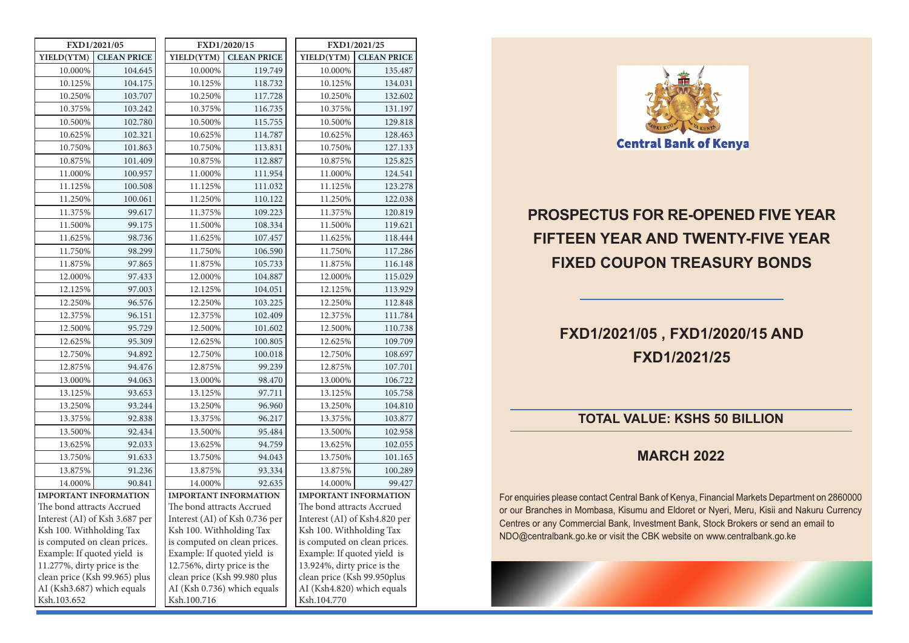|                              | FXD1/2021/05                   |  | FXD1/2020/15                 |                                |  | FXD1/2021/25                 |                                           |  |  |
|------------------------------|--------------------------------|--|------------------------------|--------------------------------|--|------------------------------|-------------------------------------------|--|--|
| YIELD(YTM)                   | <b>CLEAN PRICE</b>             |  | YIELD(YTM)                   | <b>CLEAN PRICE</b>             |  | YIELD(YTM)                   | <b>CLEAN PRICE</b>                        |  |  |
| 10.000%                      | 104.645                        |  | 10.000%                      | 119.749                        |  | 10.000%                      | 135.487                                   |  |  |
| 10.125%                      | 104.175                        |  | 10.125%                      | 118.732                        |  | 10.125%                      | 134.031                                   |  |  |
| 10.250%                      | 103.707                        |  | 10.250%                      | 117.728                        |  | 10.250%                      | 132.602                                   |  |  |
| 10.375%                      | 103.242                        |  | 10.375%                      | 116.735                        |  | 10.375%                      | 131.197                                   |  |  |
| 10.500%                      | 102.780                        |  | 10.500%                      | 115.755                        |  | 10.500%                      | 129.818                                   |  |  |
| 10.625%                      | 102.321                        |  | 10.625%                      | 114.787                        |  | 10.625%                      | 128.463                                   |  |  |
| 10.750%                      | 101.863                        |  | 10.750%                      | 113.831                        |  | 10.750%                      | 127.133                                   |  |  |
| 10.875%                      | 101.409                        |  | 10.875%                      | 112.887                        |  | 10.875%                      | 125.825                                   |  |  |
| 11.000%                      | 100.957                        |  | 11.000%                      | 111.954                        |  | 11.000%                      | 124.541                                   |  |  |
| 11.125%                      | 100.508                        |  | 11.125%                      | 111.032                        |  | 11.125%                      | 123.278                                   |  |  |
| 11.250%                      | 100.061                        |  | 11.250%                      | 110.122                        |  | 11.250%                      | 122.038                                   |  |  |
| 11.375%                      | 99.617                         |  | 11.375%                      | 109.223                        |  | 11.375%                      | 120.819                                   |  |  |
| 11.500%                      | 99.175                         |  | 11.500%                      | 108.334                        |  | 11.500%                      | 119.621                                   |  |  |
| 11.625%                      | 98.736                         |  | 11.625%                      | 107.457                        |  | 11.625%                      | 118.444                                   |  |  |
| 11.750%                      | 98.299                         |  | 11.750%                      | 106.590                        |  | 11.750%                      | 117.286                                   |  |  |
| 11.875%                      | 97.865                         |  | 11.875%                      | 105.733                        |  | 11.875%                      | 116.148                                   |  |  |
| 12.000%                      | 97.433                         |  | 12.000%                      | 104.887                        |  | 12.000%                      | 115.029                                   |  |  |
| 12.125%                      | 97.003                         |  | 12.125%                      | 104.051                        |  | 12.125%                      | 113.929                                   |  |  |
| 12.250%                      | 96.576                         |  | 12.250%                      | 103.225                        |  | 12.250%                      | 112.848                                   |  |  |
| 12.375%                      | 96.151                         |  | 12.375%                      | 102.409                        |  | 12.375%                      | 111.784                                   |  |  |
| 12.500%                      | 95.729                         |  | 12.500%                      | 101.602                        |  | 12.500%                      | 110.738                                   |  |  |
| 12.625%                      | 95.309                         |  | 12.625%                      | 100.805                        |  | 12.625%                      | 109.709                                   |  |  |
| 12.750%                      | 94.892                         |  | 12.750%                      | 100.018                        |  | 12.750%                      | 108.697                                   |  |  |
| 12.875%                      | 94.476                         |  | 12.875%                      | 99.239                         |  | 12.875%                      | 107.701                                   |  |  |
| 13.000%                      | 94.063                         |  | 13.000%                      | 98.470                         |  | 13.000%                      | 106.722                                   |  |  |
| 13.125%                      | 93.653                         |  | 13.125%                      | 97.711                         |  | 13.125%                      | 105.758                                   |  |  |
| 13.250%                      | 93.244                         |  | 13.250%                      | 96.960                         |  | 13.250%                      | 104.810                                   |  |  |
| 13.375%                      | 92.838                         |  | 13.375%                      | 96.217                         |  | 13.375%                      | 103.877                                   |  |  |
| 13.500%                      | 92.434                         |  | 13.500%                      | 95.484                         |  | 13.500%                      | 102.958                                   |  |  |
| 13.625%                      | 92.033                         |  | 13.625%                      | 94.759                         |  | 13.625%                      | 102.055                                   |  |  |
| 13.750%                      | 91.633                         |  | 13.750%                      | 94.043                         |  | 13.750%                      | 101.165                                   |  |  |
| 13.875%                      | 91.236                         |  | 13.875%                      | 93.334                         |  | 13.875%                      | 100.289                                   |  |  |
| 14.000%                      | 90.841                         |  | 14.000%                      | 92.635                         |  | 14.000%                      | 99.427                                    |  |  |
|                              | <b>IMPORTANT INFORMATION</b>   |  |                              | <b>IMPORTANT INFORMATION</b>   |  |                              | <b>IMPORTANT INFORMATION</b>              |  |  |
|                              | The bond attracts Accrued      |  | The bond attracts Accrued    |                                |  | The bond attracts Accrued    |                                           |  |  |
|                              | Interest (AI) of Ksh 3.687 per |  |                              | Interest (AI) of Ksh 0.736 per |  |                              | Interest (AI) of Ksh4.820 per             |  |  |
| Ksh 100. Withholding Tax     |                                |  | Ksh 100. Withholding Tax     |                                |  | Ksh 100. Withholding Tax     |                                           |  |  |
| is computed on clean prices. |                                |  | is computed on clean prices. |                                |  | is computed on clean prices. |                                           |  |  |
| Example: If quoted yield is  |                                |  | Example: If quoted yield is  |                                |  | Example: If quoted yield is  |                                           |  |  |
|                              | 11.277%, dirty price is the    |  |                              | 12.756%, dirty price is the    |  |                              | 13.924%, dirty price is the               |  |  |
|                              | clean price (Ksh 99.965) plus  |  |                              | clean price (Ksh 99.980 plus   |  |                              | clean price (Ksh 99.950plus               |  |  |
| Ksh.103.652                  | AI (Ksh3.687) which equals     |  |                              | AI (Ksh 0.736) which equals    |  |                              | AI (Ksh4.820) which equals<br>Ksh.104.770 |  |  |
|                              |                                |  | Ksh.100.716                  |                                |  |                              |                                           |  |  |



# **PROSPECTUS FOR RE-OPENED FIVE YEAR FIFTEEN YEAR AND TWENTY-FIVE YEAR FIXED COUPON TREASURY BONDS**

## **FXD1/2021/05 , FXD1/2020/15 AND FXD1/2021/25**

### **TOTAL VALUE: KSHS 50 BILLION**

#### **MARCH 2022**

For enquiries please contact Central Bank of Kenya, Financial Markets Department on 2860000 or our Branches in Mombasa, Kisumu and Eldoret or Nyeri, Meru, Kisii and Nakuru Currency Centres or any Commercial Bank, Investment Bank, Stock Brokers or send an email to NDO@centralbank.go.ke or visit the CBK website on www.centralbank.go.ke